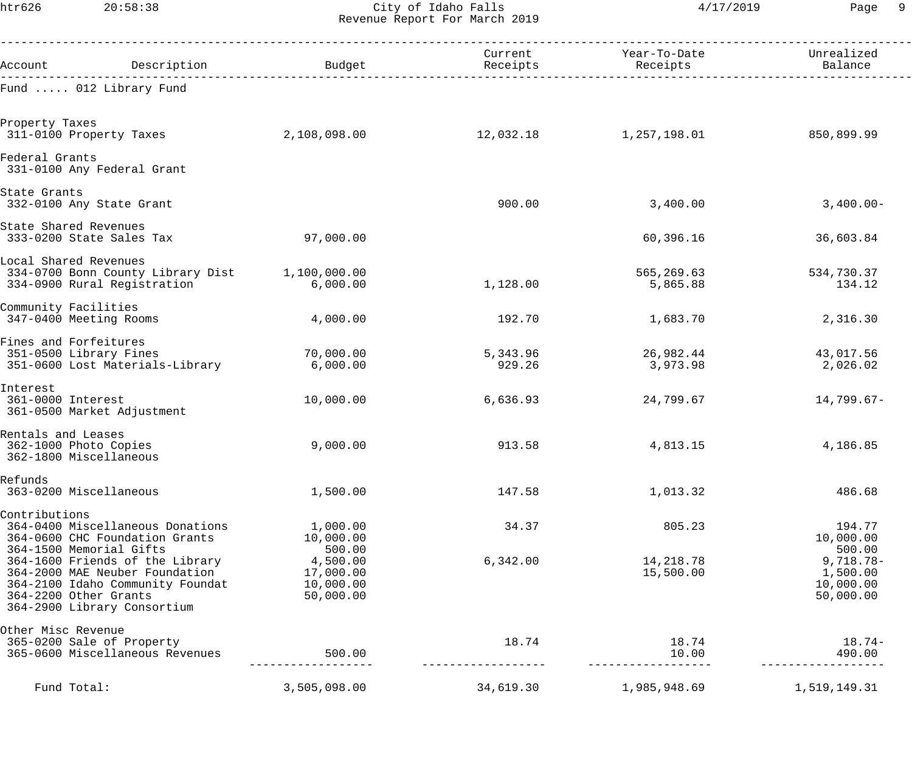htr626 20:58:38 City of Idaho Falls 4/17/2019 Page 9 Revenue Report For March 2019

|                                                                       |                                                                                                                                      |                                                           | Current            | Year-To-Date           | Unrealized                                                |
|-----------------------------------------------------------------------|--------------------------------------------------------------------------------------------------------------------------------------|-----------------------------------------------------------|--------------------|------------------------|-----------------------------------------------------------|
| Account                                                               | Description                                                                                                                          | Budget                                                    | Receipts           | Receipts               | Balance                                                   |
|                                                                       | Fund  012 Library Fund                                                                                                               |                                                           |                    |                        |                                                           |
| Property Taxes<br>311-0100 Property Taxes                             |                                                                                                                                      | 2,108,098.00                                              | 12,032.18          | 1,257,198.01           | 850,899.99                                                |
| Federal Grants                                                        | 331-0100 Any Federal Grant                                                                                                           |                                                           |                    |                        |                                                           |
| State Grants<br>332-0100 Any State Grant                              |                                                                                                                                      |                                                           | 900.00             | 3,400.00               | $3,400.00-$                                               |
| State Shared Revenues<br>333-0200 State Sales Tax                     |                                                                                                                                      | 97,000.00                                                 |                    | 60,396.16              | 36,603.84                                                 |
| Local Shared Revenues                                                 | 334-0700 Bonn County Library Dist<br>334-0900 Rural Registration                                                                     | 1,100,000.00<br>6,000.00                                  | 1,128.00           | 565,269.63<br>5,865.88 | 534,730.37<br>134.12                                      |
| Community Facilities<br>347-0400 Meeting Rooms                        |                                                                                                                                      | 4,000.00                                                  | 192.70             | 1,683.70               | 2,316.30                                                  |
| Fines and Forfeitures<br>351-0500 Library Fines                       | 351-0600 Lost Materials-Library                                                                                                      | 70,000.00<br>6,000.00                                     | 5,343.96<br>929.26 | 26,982.44<br>3,973.98  | 43,017.56<br>2,026.02                                     |
| Interest<br>361-0000 Interest                                         | 361-0500 Market Adjustment                                                                                                           | 10,000.00                                                 | 6,636.93           | 24,799.67              | $14,799.67-$                                              |
| Rentals and Leases<br>362-1000 Photo Copies<br>362-1800 Miscellaneous |                                                                                                                                      | 9,000.00                                                  | 913.58             | 4,813.15               | 4,186.85                                                  |
| Refunds<br>363-0200 Miscellaneous                                     |                                                                                                                                      | 1,500.00                                                  | 147.58             | 1,013.32               | 486.68                                                    |
| Contributions<br>364-1500 Memorial Gifts                              | 364-0400 Miscellaneous Donations<br>364-0600 CHC Foundation Grants                                                                   | 1,000.00<br>10,000.00                                     | 34.37              | 805.23                 | 194.77<br>10,000.00                                       |
| 364-2200 Other Grants                                                 | 364-1600 Friends of the Library<br>364-2000 MAE Neuber Foundation<br>364-2100 Idaho Community Foundat<br>364-2900 Library Consortium | 500.00<br>4,500.00<br>17,000.00<br>10,000.00<br>50,000.00 | 6,342.00           | 14,218.78<br>15,500.00 | 500.00<br>9,718.78-<br>1,500.00<br>10,000.00<br>50,000.00 |
| Other Misc Revenue                                                    | 365-0200 Sale of Property<br>365-0600 Miscellaneous Revenues                                                                         | 500.00                                                    | 18.74              | 18.74<br>10.00         | $18.74-$<br>490.00                                        |
| Fund Total:                                                           |                                                                                                                                      | 3,505,098.00                                              | 34,619.30          | 1,985,948.69           | 1,519,149.31                                              |